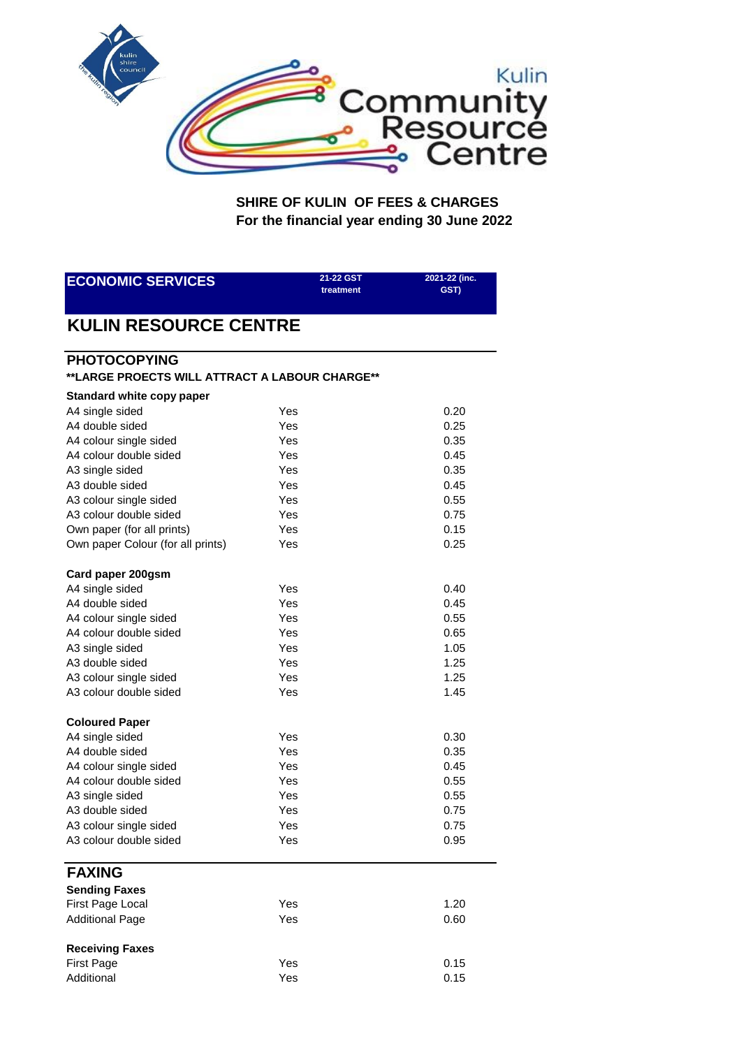

**SHIRE OF KULIN OF FEES & CHARGES For the financial year ending 30 June 2022**

> Yes 0.15 Yes 0.15

| <b>ECONOMIC SERVICES</b>                                              | 21-22 GST<br>treatment | 2021-22 (inc.<br>GST) |
|-----------------------------------------------------------------------|------------------------|-----------------------|
| <b>KULIN RESOURCE CENTRE</b>                                          |                        |                       |
| <b>PHOTOCOPYING</b><br>**LARGE PROECTS WILL ATTRACT A LABOUR CHARGE** |                        |                       |
|                                                                       |                        |                       |
| <b>Standard white copy paper</b>                                      |                        |                       |
| A4 single sided<br>A4 double sided                                    | Yes                    | 0.20                  |
|                                                                       | Yes                    | 0.25                  |
| A4 colour single sided                                                | Yes<br>Yes             | 0.35<br>0.45          |
| A4 colour double sided                                                | Yes                    | 0.35                  |
| A3 single sided                                                       |                        |                       |
| A3 double sided                                                       | Yes<br>Yes             | 0.45                  |
| A3 colour single sided                                                | Yes                    | 0.55<br>0.75          |
| A3 colour double sided                                                |                        |                       |
| Own paper (for all prints)                                            | Yes                    | 0.15                  |
| Own paper Colour (for all prints)                                     | Yes                    | 0.25                  |
| Card paper 200gsm                                                     |                        |                       |
| A4 single sided                                                       | Yes                    | 0.40                  |
| A4 double sided                                                       | Yes                    | 0.45                  |
| A4 colour single sided                                                | Yes                    | 0.55                  |
| A4 colour double sided                                                | Yes                    | 0.65                  |
| A3 single sided                                                       | Yes                    | 1.05                  |
| A3 double sided                                                       | Yes                    | 1.25                  |
| A3 colour single sided                                                | Yes                    | 1.25                  |
| A3 colour double sided                                                | Yes                    | 1.45                  |
| <b>Coloured Paper</b>                                                 |                        |                       |
| A4 single sided                                                       | Yes                    | 0.30                  |
| A4 double sided                                                       | Yes                    | 0.35                  |
| A4 colour single sided                                                | Yes                    | 0.45                  |
| A4 colour double sided                                                | Yes                    | 0.55                  |
| A3 single sided                                                       | Yes                    | 0.55                  |
| A3 double sided                                                       | Yes                    | 0.75                  |
| A3 colour single sided                                                | Yes                    | 0.75                  |
| A3 colour double sided                                                | Yes                    | 0.95                  |
|                                                                       |                        |                       |
| <b>FAXING</b>                                                         |                        |                       |
| <b>Sending Faxes</b>                                                  |                        |                       |
| First Page Local                                                      | Yes                    | 1.20                  |
| <b>Additional Page</b>                                                | Yes                    | 0.60                  |
| <b>Receiving Faxes</b>                                                |                        |                       |

First Page Additional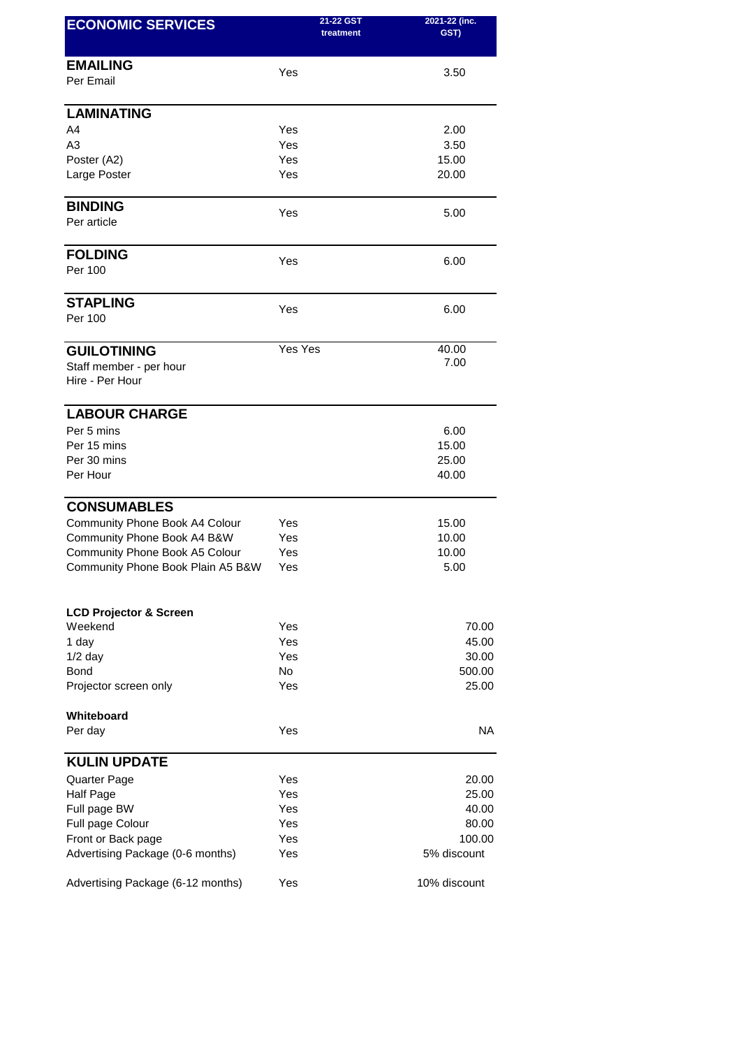| <b>ECONOMIC SERVICES</b>          | 21-22 GST | 2021-22 (inc. |
|-----------------------------------|-----------|---------------|
|                                   | treatment | GST)          |
| <b>EMAILING</b>                   |           |               |
| Per Email                         | Yes       | 3.50          |
| <b>LAMINATING</b>                 |           |               |
| A4                                | Yes       | 2.00          |
| A <sub>3</sub>                    | Yes       | 3.50          |
| Poster (A2)                       | Yes       | 15.00         |
| Large Poster                      | Yes       | 20.00         |
| <b>BINDING</b>                    |           |               |
| Per article                       | Yes       | 5.00          |
| <b>FOLDING</b>                    |           |               |
| Per 100                           | Yes       | 6.00          |
| <b>STAPLING</b>                   |           |               |
| Per 100                           | Yes       | 6.00          |
| <b>GUILOTINING</b>                | Yes Yes   | 40.00         |
| Staff member - per hour           |           | 7.00          |
| Hire - Per Hour                   |           |               |
| <b>LABOUR CHARGE</b>              |           |               |
| Per 5 mins                        |           | 6.00          |
| Per 15 mins                       |           | 15.00         |
| Per 30 mins                       |           | 25.00         |
| Per Hour                          |           | 40.00         |
| <b>CONSUMABLES</b>                |           |               |
| Community Phone Book A4 Colour    | Yes       | 15.00         |
| Community Phone Book A4 B&W       | Yes       | 10.00         |
| Community Phone Book A5 Colour    | Yes       | 10.00         |
| Community Phone Book Plain A5 B&W | Yes       | 5.00          |
| <b>LCD Projector &amp; Screen</b> |           |               |
| Weekend                           | Yes       | 70.00         |
| 1 day                             | Yes       | 45.00         |
| $1/2$ day                         | Yes       | 30.00         |
| <b>Bond</b>                       | <b>No</b> | 500.00        |
| Projector screen only             | Yes       | 25.00         |
| Whiteboard                        |           |               |
| Per day                           | Yes       | <b>NA</b>     |
| <b>KULIN UPDATE</b>               |           |               |
| Quarter Page                      | Yes       | 20.00         |
| Half Page                         | Yes       | 25.00         |
| Full page BW                      | Yes       | 40.00         |
| Full page Colour                  | Yes       | 80.00         |
| Front or Back page                | Yes       | 100.00        |
| Advertising Package (0-6 months)  | Yes       | 5% discount   |
| Advertising Package (6-12 months) | Yes       | 10% discount  |